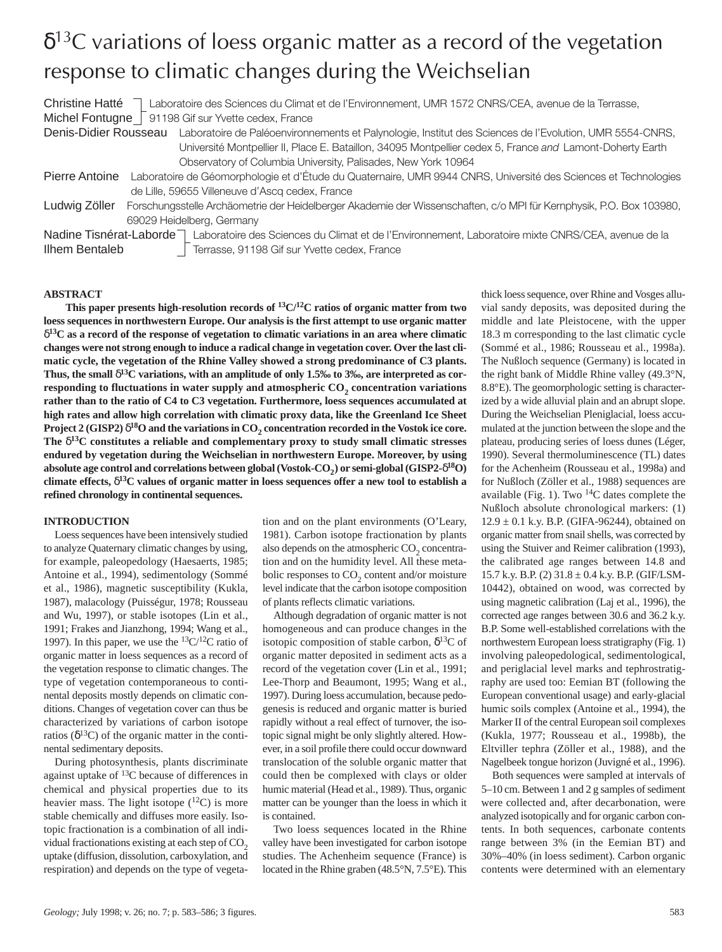# $\delta^{13}$ C variations of loess organic matter as a record of the vegetation response to climatic changes during the Weichselian

Christine Hatté <sup>7</sup> Laboratoire des Sciences du Climat et de l'Environnement, UMR 1572 CNRS/CEA, avenue de la Terrasse, Michel Fontugne  $\sqrt{ }$  91198 Gif sur Yvette cedex, France

Denis-Didier Rousseau Laboratoire de Paléoenvironnements et Palynologie, Institut des Sciences de l'Evolution, UMR 5554-CNRS, Université Montpellier II, Place E. Bataillon, 34095 Montpellier cedex 5, France *and* Lamont-Doherty Earth Observatory of Columbia University, Palisades, New York 10964

- Pierre Antoine Laboratoire de Géomorphologie et d'Étude du Quaternaire, UMR 9944 CNRS, Université des Sciences et Technologies de Lille, 59655 Villeneuve d'Ascq cedex, France
- Ludwig Zöller Forschungsstelle Archäometrie der Heidelberger Akademie der Wissenschaften, c/o MPI für Kernphysik, P.O. Box 103980, 69029 Heidelberg, Germany

Nadine Tisnérat-Laborde<sup>7</sup> Laboratoire des Sciences du Climat et de l'Environnement, Laboratoire mixte CNRS/CEA, avenue de la Ilhem Bentaleb **Terrasse**, 91198 Gif sur Yvette cedex, France

## **ABSTRACT**

**This paper presents high-resolution records of 13C/12C ratios of organic matter from two loess sequences in northwestern Europe. Our analysis is the first attempt to use organic matter** δ**13C as a record of the response of vegetation to climatic variations in an area where climatic changes were not strong enough to induce a radical change in vegetation cover. Over the last climatic cycle, the vegetation of the Rhine Valley showed a strong predominance of C3 plants. Thus, the small** δ**13C variations, with an amplitude of only 1.5‰ to 3‰, are interpreted as cor**responding to fluctuations in water supply and atmospheric CO<sub>2</sub> concentration variations **rather than to the ratio of C4 to C3 vegetation. Furthermore, loess sequences accumulated at high rates and allow high correlation with climatic proxy data, like the Greenland Ice Sheet Project 2 (GISP2)**  $\delta^{18}$ O and the variations in CO<sub>2</sub> concentration recorded in the Vostok ice core. **The** δ**13C constitutes a reliable and complementary proxy to study small climatic stresses endured by vegetation during the Weichselian in northwestern Europe. Moreover, by using absolute age control and correlations between global (Vostok-CO2) or semi-global (GISP2-**δ**18O) climate effects,** δ**13C values of organic matter in loess sequences offer a new tool to establish a refined chronology in continental sequences.**

## **INTRODUCTION**

Loess sequences have been intensively studied to analyze Quaternary climatic changes by using, for example, paleopedology (Haesaerts, 1985; Antoine et al., 1994), sedimentology (Sommé et al., 1986), magnetic susceptibility (Kukla, 1987), malacology (Puisségur, 1978; Rousseau and Wu, 1997), or stable isotopes (Lin et al., 1991; Frakes and Jianzhong, 1994; Wang et al., 1997). In this paper, we use the  $13C/12C$  ratio of organic matter in loess sequences as a record of the vegetation response to climatic changes. The type of vegetation contemporaneous to continental deposits mostly depends on climatic conditions. Changes of vegetation cover can thus be characterized by variations of carbon isotope ratios ( $\delta^{13}$ C) of the organic matter in the continental sedimentary deposits.

During photosynthesis, plants discriminate against uptake of 13C because of differences in chemical and physical properties due to its heavier mass. The light isotope  $(^{12}C)$  is more stable chemically and diffuses more easily. Isotopic fractionation is a combination of all individual fractionations existing at each step of  $CO<sub>2</sub>$ uptake (diffusion, dissolution, carboxylation, and respiration) and depends on the type of vegetation and on the plant environments (O'Leary, 1981). Carbon isotope fractionation by plants also depends on the atmospheric  $CO<sub>2</sub>$  concentration and on the humidity level. All these metabolic responses to  $CO<sub>2</sub>$  content and/or moisture level indicate that the carbon isotope composition of plants reflects climatic variations.

Although degradation of organic matter is not homogeneous and can produce changes in the isotopic composition of stable carbon,  $\delta^{13}C$  of organic matter deposited in sediment acts as a record of the vegetation cover (Lin et al., 1991; Lee-Thorp and Beaumont, 1995; Wang et al., 1997). During loess accumulation, because pedogenesis is reduced and organic matter is buried rapidly without a real effect of turnover, the isotopic signal might be only slightly altered. However, in a soil profile there could occur downward translocation of the soluble organic matter that could then be complexed with clays or older humic material (Head et al., 1989). Thus, organic matter can be younger than the loess in which it is contained.

Two loess sequences located in the Rhine valley have been investigated for carbon isotope studies. The Achenheim sequence (France) is located in the Rhine graben (48.5°N, 7.5°E). This

thick loess sequence, over Rhine and Vosges alluvial sandy deposits, was deposited during the middle and late Pleistocene, with the upper 18.3 m corresponding to the last climatic cycle (Sommé et al., 1986; Rousseau et al., 1998a). The Nußloch sequence (Germany) is located in the right bank of Middle Rhine valley (49.3°N, 8.8°E). The geomorphologic setting is characterized by a wide alluvial plain and an abrupt slope. During the Weichselian Pleniglacial, loess accumulated at the junction between the slope and the plateau, producing series of loess dunes (Léger, 1990). Several thermoluminescence (TL) dates for the Achenheim (Rousseau et al., 1998a) and for Nußloch (Zöller et al., 1988) sequences are available (Fig. 1). Two  $^{14}$ C dates complete the Nußloch absolute chronological markers: (1)  $12.9 \pm 0.1$  k.y. B.P. (GIFA-96244), obtained on organic matter from snail shells, was corrected by using the Stuiver and Reimer calibration (1993), the calibrated age ranges between 14.8 and 15.7 k.y. B.P. (2) 31.8 ± 0.4 k.y. B.P. (GIF/LSM-10442), obtained on wood, was corrected by using magnetic calibration (Laj et al., 1996), the corrected age ranges between 30.6 and 36.2 k.y. B.P. Some well-established correlations with the northwestern European loess stratigraphy (Fig. 1) involving paleopedological, sedimentological, and periglacial level marks and tephrostratigraphy are used too: Eemian BT (following the European conventional usage) and early-glacial humic soils complex (Antoine et al., 1994), the Marker II of the central European soil complexes (Kukla, 1977; Rousseau et al., 1998b), the Eltviller tephra (Zöller et al., 1988), and the Nagelbeek tongue horizon (Juvigné et al., 1996).

Both sequences were sampled at intervals of 5–10 cm. Between 1 and 2 g samples of sediment were collected and, after decarbonation, were analyzed isotopically and for organic carbon contents. In both sequences, carbonate contents range between 3% (in the Eemian BT) and 30%–40% (in loess sediment). Carbon organic contents were determined with an elementary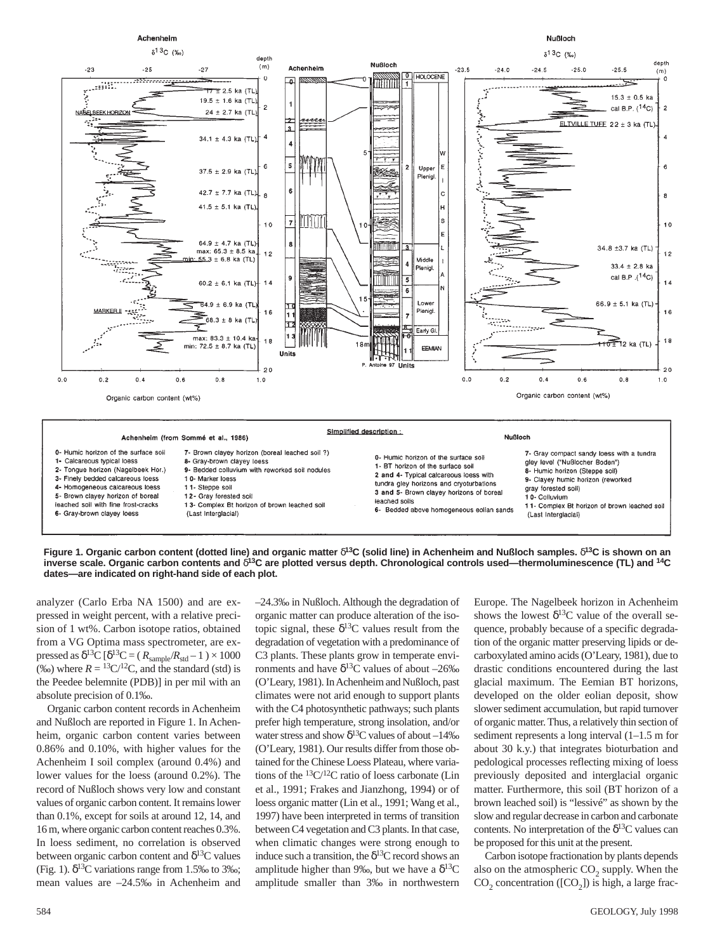



analyzer (Carlo Erba NA 1500) and are expressed in weight percent, with a relative precision of 1 wt%. Carbon isotope ratios, obtained from a VG Optima mass spectrometer, are expressed as  $\delta^{13}C [\delta^{13}C = (R_{\text{sample}}/R_{\text{std}} - 1) \times 1000$ (‰) where  $R = {}^{13}C/{}^{12}C$ , and the standard (std) is the Peedee belemnite (PDB)] in per mil with an absolute precision of 0.1‰.

Organic carbon content records in Achenheim and Nußloch are reported in Figure 1. In Achenheim, organic carbon content varies between 0.86% and 0.10%, with higher values for the Achenheim I soil complex (around 0.4%) and lower values for the loess (around 0.2%). The record of Nußloch shows very low and constant values of organic carbon content. It remains lower than 0.1%, except for soils at around 12, 14, and 16 m, where organic carbon content reaches 0.3%. In loess sediment, no correlation is observed between organic carbon content and  $\delta^{13}C$  values (Fig. 1).  $\delta^{13}$ C variations range from 1.5‰ to 3‰; mean values are –24.5‰ in Achenheim and

–24.3‰ in Nußloch. Although the degradation of organic matter can produce alteration of the isotopic signal, these  $\delta^{13}$ C values result from the degradation of vegetation with a predominance of C3 plants. These plants grow in temperate environments and have  $\delta^{13}$ C values of about –26‰ (O'Leary, 1981). In Achenheim and Nußloch, past climates were not arid enough to support plants with the C4 photosynthetic pathways; such plants prefer high temperature, strong insolation, and/or water stress and show  $\delta^{13}$ C values of about –14‰ (O'Leary, 1981). Our results differ from those obtained for the Chinese Loess Plateau, where variations of the  ${}^{13}C/{}^{12}C$  ratio of loess carbonate (Lin et al., 1991; Frakes and Jianzhong, 1994) or of loess organic matter (Lin et al., 1991; Wang et al., 1997) have been interpreted in terms of transition between C4 vegetation and C3 plants. In that case, when climatic changes were strong enough to induce such a transition, the  $\delta^{13}$ C record shows an amplitude higher than 9‰, but we have a  $\delta^{13}C$ amplitude smaller than 3‰ in northwestern

Europe. The Nagelbeek horizon in Achenheim shows the lowest  $\delta^{13}$ C value of the overall sequence, probably because of a specific degradation of the organic matter preserving lipids or decarboxylated amino acids (O'Leary, 1981), due to drastic conditions encountered during the last glacial maximum. The Eemian BT horizons, developed on the older eolian deposit, show slower sediment accumulation, but rapid turnover of organic matter. Thus, a relatively thin section of sediment represents a long interval (1–1.5 m for about 30 k.y.) that integrates bioturbation and pedological processes reflecting mixing of loess previously deposited and interglacial organic matter. Furthermore, this soil (BT horizon of a brown leached soil) is "lessivé" as shown by the slow and regular decrease in carbon and carbonate contents. No interpretation of the  $\delta^{13}$ C values can be proposed for this unit at the present.

Carbon isotope fractionation by plants depends also on the atmospheric CO<sub>2</sub> supply. When the  $CO<sub>2</sub>$  concentration ([CO<sub>2</sub>]) is high, a large frac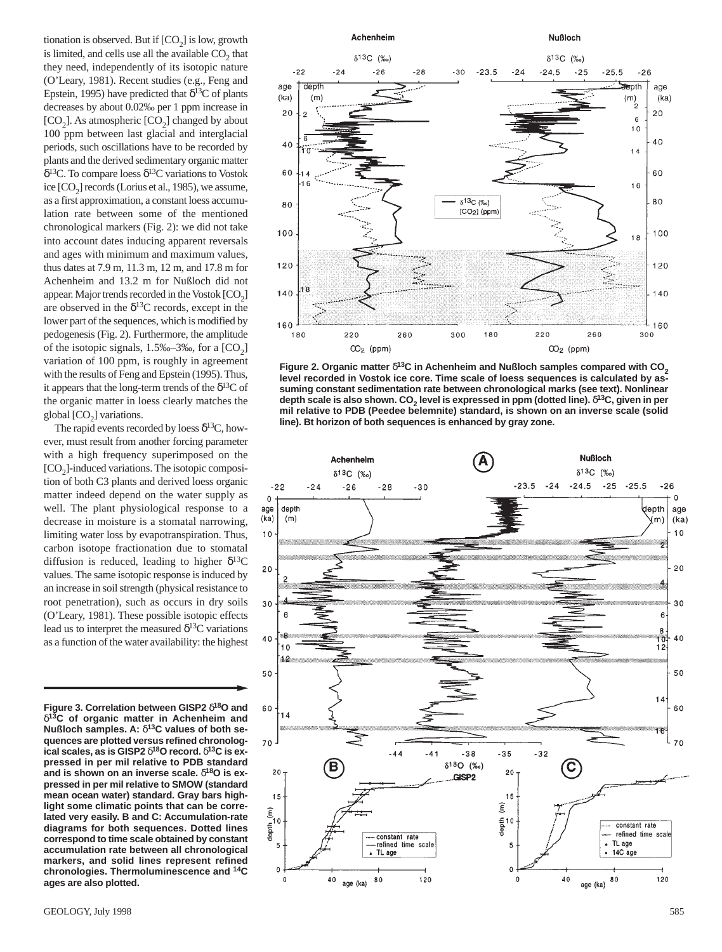tionation is observed. But if  $[CO<sub>2</sub>]$  is low, growth is limited, and cells use all the available  $CO<sub>2</sub>$  that they need, independently of its isotopic nature (O'Leary, 1981). Recent studies (e.g., Feng and Epstein, 1995) have predicted that  $\delta^{13}C$  of plants decreases by about 0.02‰ per 1 ppm increase in [ $CO<sub>2</sub>$ ]. As atmospheric [ $CO<sub>2</sub>$ ] changed by about 100 ppm between last glacial and interglacial periods, such oscillations have to be recorded by plants and the derived sedimentary organic matter δ<sup>13</sup>C. To compare loess δ<sup>13</sup>C variations to Vostok ice  $[CO<sub>2</sub>]$  records (Lorius et al., 1985), we assume, as a first approximation, a constant loess accumulation rate between some of the mentioned chronological markers (Fig. 2): we did not take into account dates inducing apparent reversals and ages with minimum and maximum values, thus dates at 7.9 m, 11.3 m, 12 m, and 17.8 m for Achenheim and 13.2 m for Nußloch did not appear. Major trends recorded in the Vostok  $[CO<sub>2</sub>]$ are observed in the  $\delta^{13}$ C records, except in the lower part of the sequences, which is modified by pedogenesis (Fig. 2). Furthermore, the amplitude of the isotopic signals,  $1.5\% - 3\%$ , for a  $[CO_2]$ variation of 100 ppm, is roughly in agreement with the results of Feng and Epstein (1995). Thus, it appears that the long-term trends of the  $\delta^{13}C$  of the organic matter in loess clearly matches the global  $[CO<sub>2</sub>]$  variations.

The rapid events recorded by loess  $\delta^{13}C$ , however, must result from another forcing parameter with a high frequency superimposed on the  $[CO<sub>2</sub>]$ -induced variations. The isotopic composition of both C3 plants and derived loess organic matter indeed depend on the water supply as well. The plant physiological response to a decrease in moisture is a stomatal narrowing, limiting water loss by evapotranspiration. Thus, carbon isotope fractionation due to stomatal diffusion is reduced, leading to higher  $\delta^{13}C$ values. The same isotopic response is induced by an increase in soil strength (physical resistance to root penetration), such as occurs in dry soils (O'Leary, 1981). These possible isotopic effects lead us to interpret the measured  $\delta^{13}$ C variations as a function of the water availability: the highest

**Figure 3. Correlation between GISP2** δ**18O and** δ**13C of organic matter in Achenheim and Nußloch samples. A:** δ**13C values of both sequences are plotted versus refined chronological scales, as is GISP2** δ**18O record.** δ**13C is expressed in per mil relative to PDB standard and is shown on an inverse scale.** δ**18O is expressed in per mil relative to SMOW (standard mean ocean water) standard. Gray bars highlight some climatic points that can be correlated very easily. B and C: Accumulation-rate diagrams for both sequences. Dotted lines correspond to time scale obtained by constant accumulation rate between all chronological markers, and solid lines represent refined chronologies. Thermoluminescence and 14C ages are also plotted.**



**Figure 2. Organic matter δ<sup>13</sup>C in Achenheim and Nußloch samples compared with CO<sub>2</sub> level recorded in Vostok ice core. Time scale of loess sequences is calculated by assuming constant sedimentation rate between chronological marks (see text). Nonlinear depth scale is also shown. CO2 level is expressed in ppm (dotted line).** δ**13C, given in per mil relative to PDB (Peedee belemnite) standard, is shown on an inverse scale (solid line). Bt horizon of both sequences is enhanced by gray zone.**